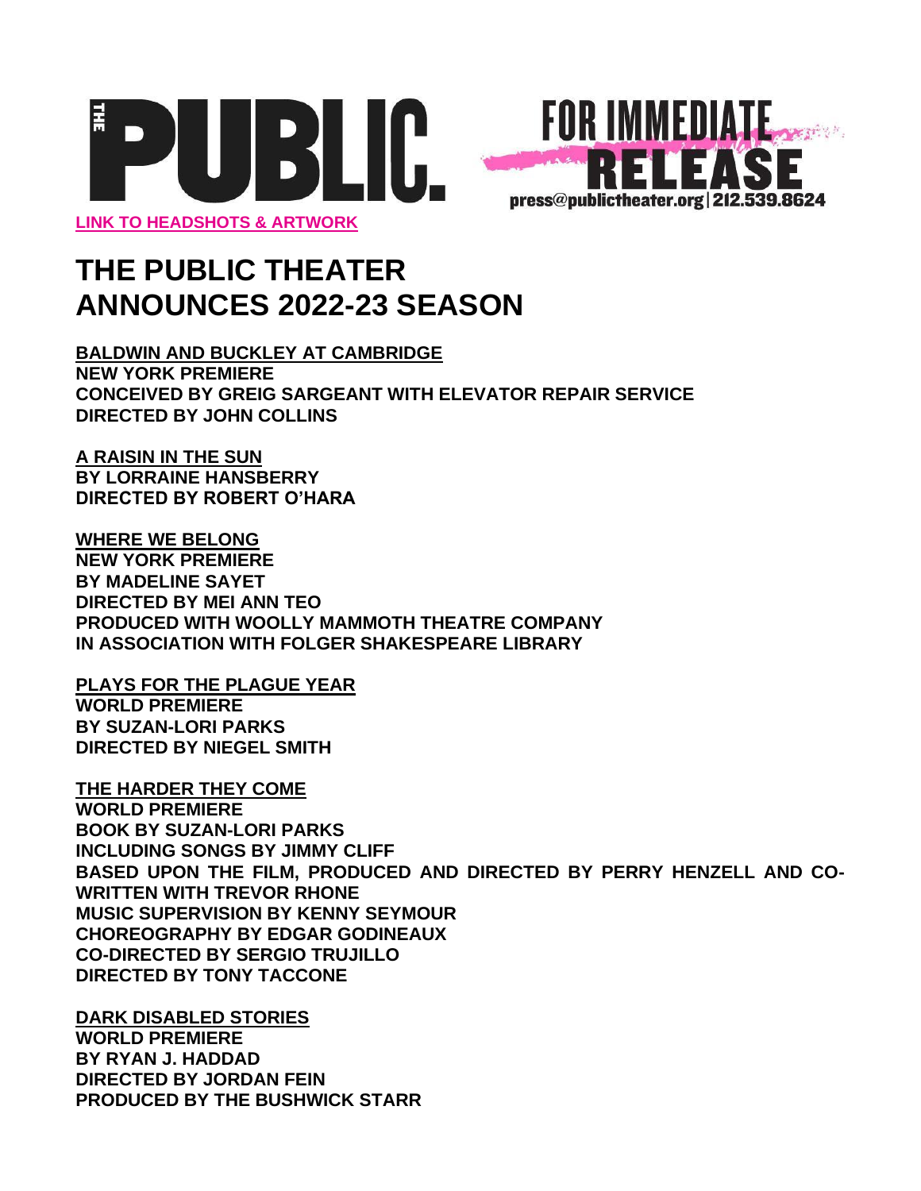



# **THE PUBLIC THEATER ANNOUNCES 2022-23 SEASON**

**BALDWIN AND BUCKLEY AT CAMBRIDGE NEW YORK PREMIERE CONCEIVED BY GREIG SARGEANT WITH ELEVATOR REPAIR SERVICE DIRECTED BY JOHN COLLINS** 

**A RAISIN IN THE SUN BY LORRAINE HANSBERRY DIRECTED BY ROBERT O'HARA**

**WHERE WE BELONG NEW YORK PREMIERE BY MADELINE SAYET DIRECTED BY MEI ANN TEO PRODUCED WITH WOOLLY MAMMOTH THEATRE COMPANY IN ASSOCIATION WITH FOLGER SHAKESPEARE LIBRARY**

**PLAYS FOR THE PLAGUE YEAR WORLD PREMIERE BY SUZAN-LORI PARKS DIRECTED BY NIEGEL SMITH**

**THE HARDER THEY COME WORLD PREMIERE BOOK BY SUZAN-LORI PARKS INCLUDING SONGS BY JIMMY CLIFF BASED UPON THE FILM, PRODUCED AND DIRECTED BY PERRY HENZELL AND CO-WRITTEN WITH TREVOR RHONE MUSIC SUPERVISION BY KENNY SEYMOUR CHOREOGRAPHY BY EDGAR GODINEAUX CO-DIRECTED BY SERGIO TRUJILLO DIRECTED BY TONY TACCONE**

**DARK DISABLED STORIES WORLD PREMIERE BY RYAN J. HADDAD DIRECTED BY JORDAN FEIN PRODUCED BY THE BUSHWICK STARR**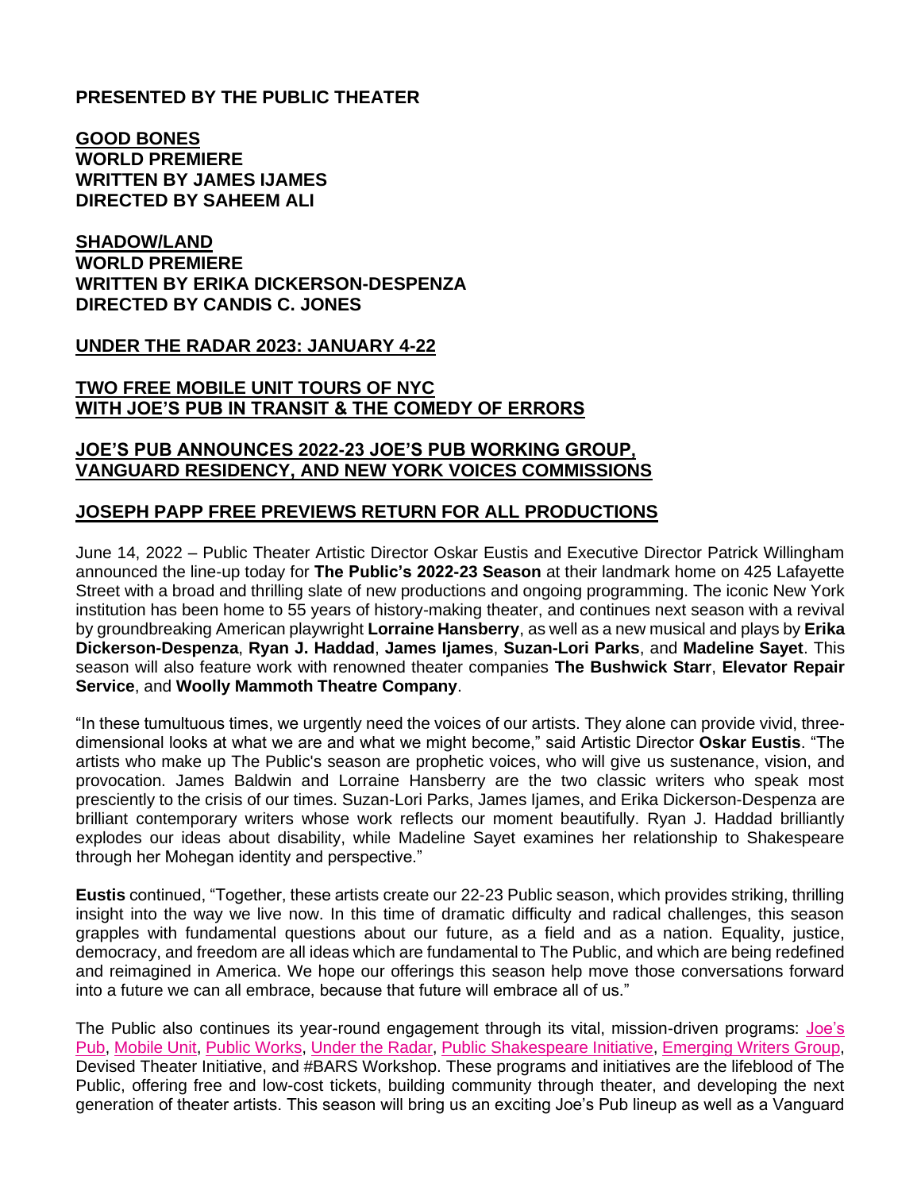## **PRESENTED BY THE PUBLIC THEATER**

**GOOD BONES WORLD PREMIERE WRITTEN BY JAMES IJAMES DIRECTED BY SAHEEM ALI**

## **SHADOW/LAND WORLD PREMIERE WRITTEN BY ERIKA DICKERSON-DESPENZA DIRECTED BY CANDIS C. JONES**

**UNDER THE RADAR 2023: JANUARY 4-22**

## **TWO FREE MOBILE UNIT TOURS OF NYC WITH JOE'S PUB IN TRANSIT & THE COMEDY OF ERRORS**

## **JOE'S PUB ANNOUNCES 2022-23 JOE'S PUB WORKING GROUP, VANGUARD RESIDENCY, AND NEW YORK VOICES COMMISSIONS**

## **JOSEPH PAPP FREE PREVIEWS RETURN FOR ALL PRODUCTIONS**

June 14, 2022 – Public Theater Artistic Director Oskar Eustis and Executive Director Patrick Willingham announced the line-up today for **The Public's 2022-23 Season** at their landmark home on 425 Lafayette Street with a broad and thrilling slate of new productions and ongoing programming. The iconic New York institution has been home to 55 years of history-making theater, and continues next season with a revival by groundbreaking American playwright **Lorraine Hansberry**, as well as a new musical and plays by **Erika Dickerson-Despenza**, **Ryan J. Haddad**, **James Ijames**, **Suzan-Lori Parks**, and **Madeline Sayet**. This season will also feature work with renowned theater companies **The Bushwick Starr**, **Elevator Repair Service**, and **Woolly Mammoth Theatre Company**.

"In these tumultuous times, we urgently need the voices of our artists. They alone can provide vivid, threedimensional looks at what we are and what we might become," said Artistic Director **Oskar Eustis**. "The artists who make up The Public's season are prophetic voices, who will give us sustenance, vision, and provocation. James Baldwin and Lorraine Hansberry are the two classic writers who speak most presciently to the crisis of our times. Suzan-Lori Parks, James Ijames, and Erika Dickerson-Despenza are brilliant contemporary writers whose work reflects our moment beautifully. Ryan J. Haddad brilliantly explodes our ideas about disability, while Madeline Sayet examines her relationship to Shakespeare through her Mohegan identity and perspective."

**Eustis** continued, "Together, these artists create our 22-23 Public season, which provides striking, thrilling insight into the way we live now. In this time of dramatic difficulty and radical challenges, this season grapples with fundamental questions about our future, as a field and as a nation. Equality, justice, democracy, and freedom are all ideas which are fundamental to The Public, and which are being redefined and reimagined in America. We hope our offerings this season help move those conversations forward into a future we can all embrace, because that future will embrace all of us."

The Public also continues its year-round engagement through its vital, mission-driven programs: [Joe's](https://publictheater.org/programs/joes-pub/)  [Pub,](https://publictheater.org/programs/joes-pub/) [Mobile Unit,](https://publictheater.org/programs/mobile-unit/) [Public Works,](https://publictheater.org/programs/publicworks/) [Under the Radar,](https://publictheater.org/programs/under-the-radar/under-the-radar-2021/) [Public Shakespeare Initiative,](https://publictheater.org/programs/public-shakespeare-initiative/) [Emerging Writers Group,](https://publictheater.org/programs/emerging-writers-group/) Devised Theater Initiative, and #BARS Workshop. These programs and initiatives are the lifeblood of The Public, offering free and low-cost tickets, building community through theater, and developing the next generation of theater artists. This season will bring us an exciting Joe's Pub lineup as well as a Vanguard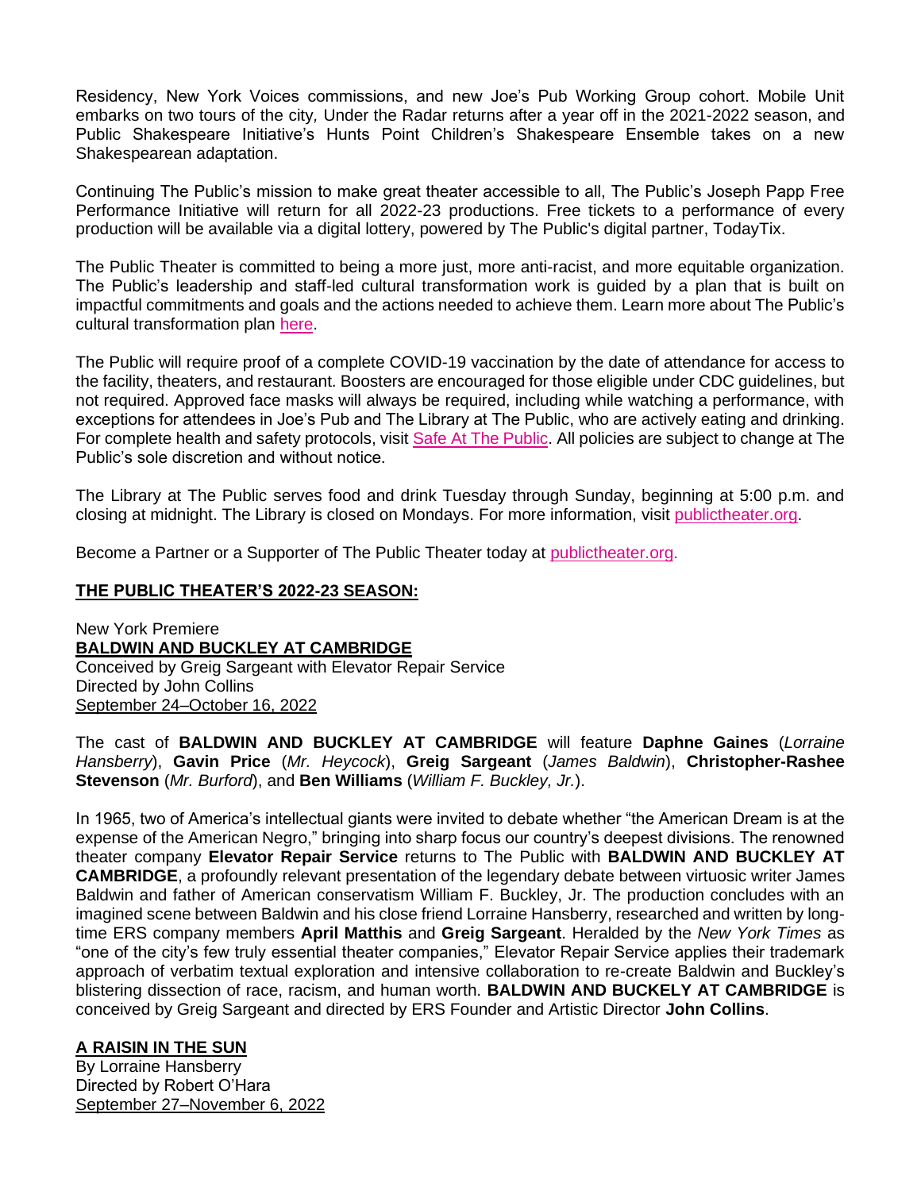Residency, New York Voices commissions, and new Joe's Pub Working Group cohort. Mobile Unit embarks on two tours of the city*,* Under the Radar returns after a year off in the 2021-2022 season, and Public Shakespeare Initiative's Hunts Point Children's Shakespeare Ensemble takes on a new Shakespearean adaptation.

Continuing The Public's mission to make great theater accessible to all, The Public's Joseph Papp Free Performance Initiative will return for all 2022-23 productions. Free tickets to a performance of every production will be available via a digital lottery, powered by The Public's digital partner, TodayTix.

The Public Theater is committed to being a more just, more anti-racist, and more equitable organization. The Public's leadership and staff-led cultural transformation work is guided by a plan that is built on impactful commitments and goals and the actions needed to achieve them. Learn more about The Public's cultural transformation plan [here.](https://thepublic.nyc/anti-racismandculturaltransformationplan)

The Public will require proof of a complete COVID-19 vaccination by the date of attendance for access to the facility, theaters, and restaurant. Boosters are encouraged for those eligible under CDC guidelines, but not required. Approved face masks will always be required, including while watching a performance, with exceptions for attendees in Joe's Pub and The Library at The Public, who are actively eating and drinking. For complete health and safety protocols, visit [Safe At The Public.](http://thepublic.nyc/safeatthepublic) All policies are subject to change at The Public's sole discretion and without notice.

The Library at The Public serves food and drink Tuesday through Sunday, beginning at 5:00 p.m. and closing at midnight. The Library is closed on Mondays. For more information, visi[t](https://publictheater.org/visit/food--drink-at-the-library/) [publictheater.org.](https://publictheater.org/visit/food--drink-at-the-library/)

Become a Partner or a Supporter of The Public Theater today at [publictheater.org.](https://publictheater.org/support-us/support-us/)

## **THE PUBLIC THEATER'S 2022-23 SEASON:**

New York Premiere **BALDWIN AND BUCKLEY AT CAMBRIDGE**  Conceived by Greig Sargeant with Elevator Repair Service Directed by John Collins September 24–October 16, 2022

The cast of **BALDWIN AND BUCKLEY AT CAMBRIDGE** will feature **Daphne Gaines** (*Lorraine Hansberry*), **Gavin Price** (*Mr. Heycock*), **Greig Sargeant** (*James Baldwin*), **Christopher-Rashee Stevenson** (*Mr. Burford*), and **Ben Williams** (*William F. Buckley, Jr.*).

In 1965, two of America's intellectual giants were invited to debate whether "the American Dream is at the expense of the American Negro," bringing into sharp focus our country's deepest divisions. The renowned theater company **Elevator Repair Service** returns to The Public with **BALDWIN AND BUCKLEY AT CAMBRIDGE**, a profoundly relevant presentation of the legendary debate between virtuosic writer James Baldwin and father of American conservatism William F. Buckley, Jr. The production concludes with an imagined scene between Baldwin and his close friend Lorraine Hansberry, researched and written by longtime ERS company members **April Matthis** and **Greig Sargeant**. Heralded by the *New York Times* as "one of the city's few truly essential theater companies," Elevator Repair Service applies their trademark approach of verbatim textual exploration and intensive collaboration to re-create Baldwin and Buckley's blistering dissection of race, racism, and human worth. **BALDWIN AND BUCKELY AT CAMBRIDGE** is conceived by Greig Sargeant and directed by ERS Founder and Artistic Director **John Collins**.

## **A RAISIN IN THE SUN**

By Lorraine Hansberry Directed by Robert O'Hara September 27–November 6, 2022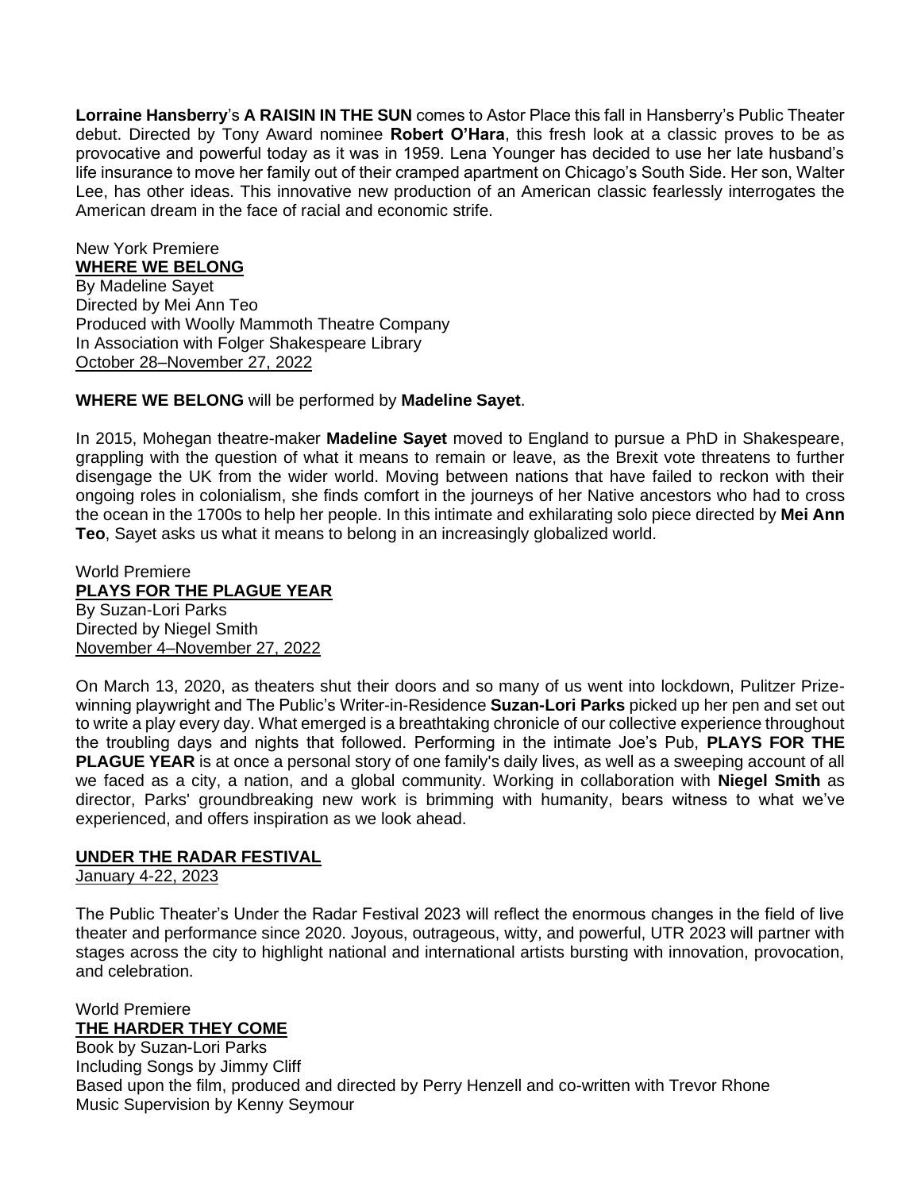**Lorraine Hansberry**'s **A RAISIN IN THE SUN** comes to Astor Place this fall in Hansberry's Public Theater debut. Directed by Tony Award nominee **Robert O'Hara**, this fresh look at a classic proves to be as provocative and powerful today as it was in 1959. Lena Younger has decided to use her late husband's life insurance to move her family out of their cramped apartment on Chicago's South Side. Her son, Walter Lee, has other ideas. This innovative new production of an American classic fearlessly interrogates the American dream in the face of racial and economic strife.

New York Premiere **WHERE WE BELONG**  By Madeline Sayet Directed by Mei Ann Teo Produced with Woolly Mammoth Theatre Company In Association with Folger Shakespeare Library October 28–November 27, 2022

## **WHERE WE BELONG** will be performed by **Madeline Sayet**.

In 2015, Mohegan theatre-maker **Madeline Sayet** moved to England to pursue a PhD in Shakespeare, grappling with the question of what it means to remain or leave, as the Brexit vote threatens to further disengage the UK from the wider world. Moving between nations that have failed to reckon with their ongoing roles in colonialism, she finds comfort in the journeys of her Native ancestors who had to cross the ocean in the 1700s to help her people. In this intimate and exhilarating solo piece directed by **Mei Ann Teo**, Sayet asks us what it means to belong in an increasingly globalized world.

World Premiere **PLAYS FOR THE PLAGUE YEAR** By Suzan-Lori Parks Directed by Niegel Smith November 4–November 27, 2022

On March 13, 2020, as theaters shut their doors and so many of us went into lockdown, Pulitzer Prizewinning playwright and The Public's Writer-in-Residence **Suzan-Lori Parks** picked up her pen and set out to write a play every day. What emerged is a breathtaking chronicle of our collective experience throughout the troubling days and nights that followed. Performing in the intimate Joe's Pub, **PLAYS FOR THE PLAGUE YEAR** is at once a personal story of one family's daily lives, as well as a sweeping account of all we faced as a city, a nation, and a global community. Working in collaboration with **Niegel Smith** as director, Parks' groundbreaking new work is brimming with humanity, bears witness to what we've experienced, and offers inspiration as we look ahead.

#### **UNDER THE RADAR FESTIVAL**

January 4-22, 2023

The Public Theater's Under the Radar Festival 2023 will reflect the enormous changes in the field of live theater and performance since 2020. Joyous, outrageous, witty, and powerful, UTR 2023 will partner with stages across the city to highlight national and international artists bursting with innovation, provocation, and celebration.

World Premiere **THE HARDER THEY COME**

Book by Suzan-Lori Parks Including Songs by Jimmy Cliff Based upon the film, produced and directed by Perry Henzell and co-written with Trevor Rhone Music Supervision by Kenny Seymour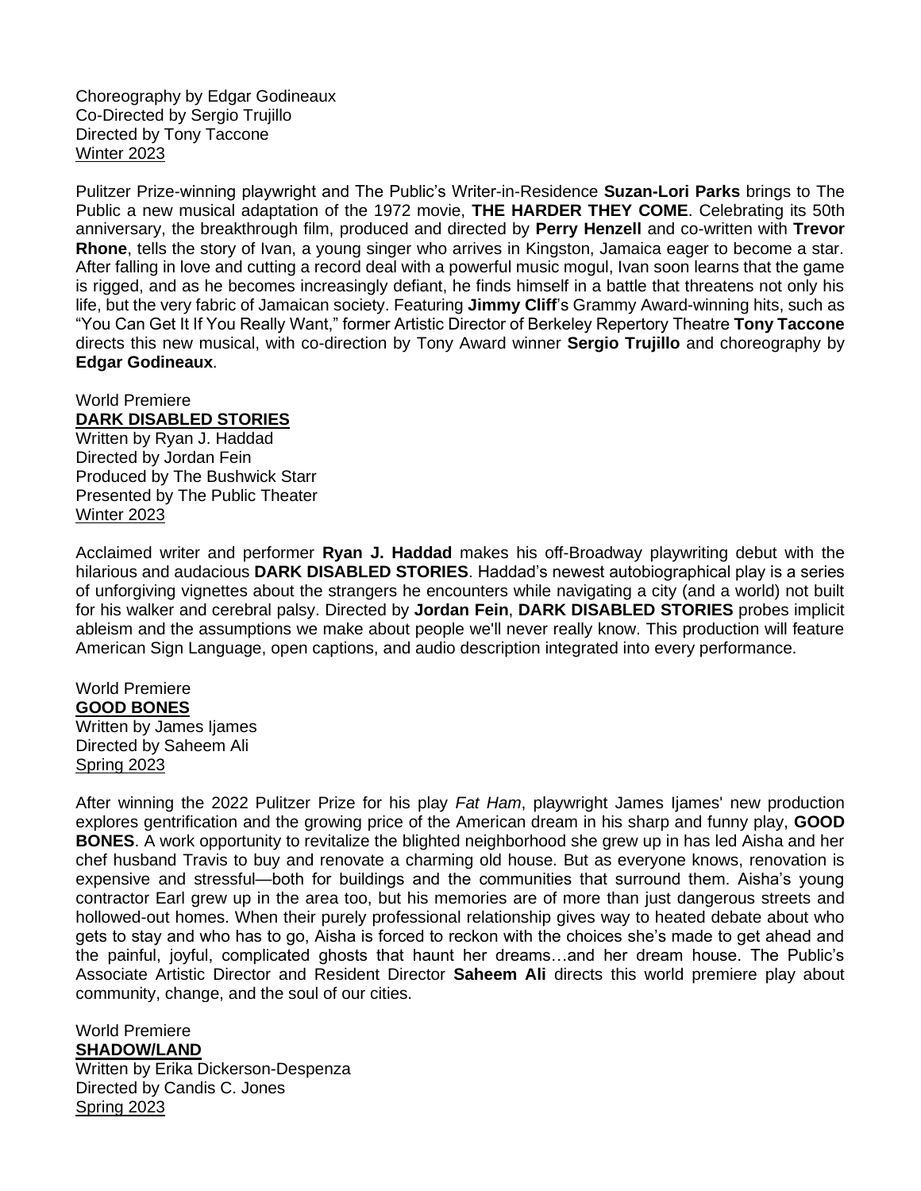Choreography by Edgar Godineaux Co-Directed by Sergio Trujillo Directed by Tony Taccone Winter 2023

Pulitzer Prize-winning playwright and The Public's Writer-in-Residence **Suzan-Lori Parks** brings to The Public a new musical adaptation of the 1972 movie, **THE HARDER THEY COME**. Celebrating its 50th anniversary, the breakthrough film, produced and directed by **Perry Henzell** and co-written with **Trevor Rhone**, tells the story of Ivan, a young singer who arrives in Kingston, Jamaica eager to become a star. After falling in love and cutting a record deal with a powerful music mogul, Ivan soon learns that the game is rigged, and as he becomes increasingly defiant, he finds himself in a battle that threatens not only his life, but the very fabric of Jamaican society. Featuring **Jimmy Cliff**'s Grammy Award-winning hits, such as "You Can Get It If You Really Want," former Artistic Director of Berkeley Repertory Theatre **Tony Taccone**  directs this new musical, with co-direction by Tony Award winner **Sergio Trujillo** and choreography by **Edgar Godineaux**.

## World Premiere **DARK DISABLED STORIES** Written by Ryan J. Haddad Directed by Jordan Fein

Produced by The Bushwick Starr Presented by The Public Theater Winter 2023

Acclaimed writer and performer **Ryan J. Haddad** makes his off-Broadway playwriting debut with the hilarious and audacious **DARK DISABLED STORIES**. Haddad's newest autobiographical play is a series of unforgiving vignettes about the strangers he encounters while navigating a city (and a world) not built for his walker and cerebral palsy. Directed by **Jordan Fein**, **DARK DISABLED STORIES** probes implicit ableism and the assumptions we make about people we'll never really know. This production will feature American Sign Language, open captions, and audio description integrated into every performance.

#### World Premiere **GOOD BONES** Written by James Ijames Directed by Saheem Ali Spring 2023

After winning the 2022 Pulitzer Prize for his play *Fat Ham*, playwright James Ijames' new production explores gentrification and the growing price of the American dream in his sharp and funny play, **GOOD BONES**. A work opportunity to revitalize the blighted neighborhood she grew up in has led Aisha and her chef husband Travis to buy and renovate a charming old house. But as everyone knows, renovation is expensive and stressful—both for buildings and the communities that surround them. Aisha's young contractor Earl grew up in the area too, but his memories are of more than just dangerous streets and hollowed-out homes. When their purely professional relationship gives way to heated debate about who gets to stay and who has to go, Aisha is forced to reckon with the choices she's made to get ahead and the painful, joyful, complicated ghosts that haunt her dreams…and her dream house. The Public's Associate Artistic Director and Resident Director **Saheem Ali** directs this world premiere play about community, change, and the soul of our cities.

**SHADOW/LAND** Written by Erika Dickerson-Despenza Directed by Candis C. Jones Spring 2023

World Premiere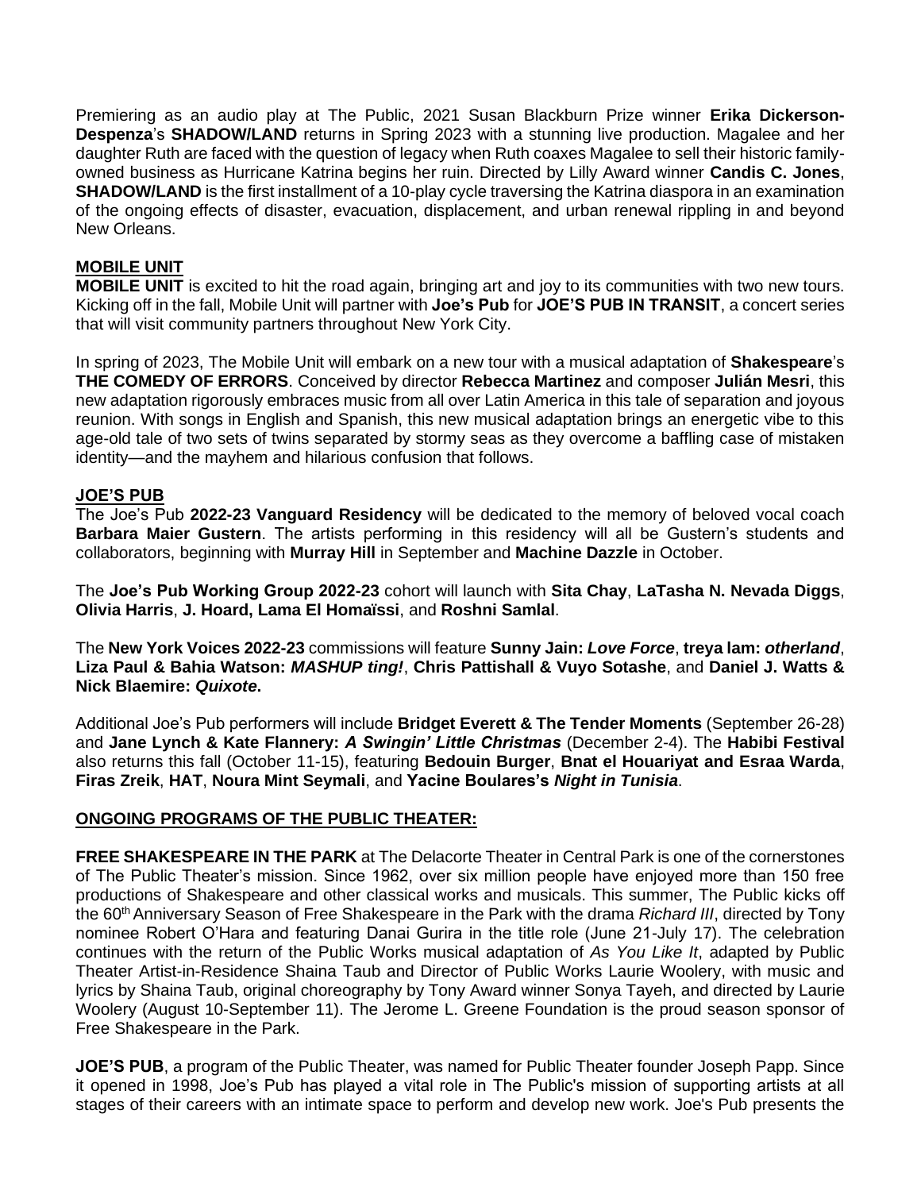Premiering as an audio play at The Public, 2021 Susan Blackburn Prize winner **Erika Dickerson-Despenza**'s **SHADOW/LAND** returns in Spring 2023 with a stunning live production. Magalee and her daughter Ruth are faced with the question of legacy when Ruth coaxes Magalee to sell their historic familyowned business as Hurricane Katrina begins her ruin. Directed by Lilly Award winner **Candis C. Jones**, **SHADOW/LAND** is the first installment of a 10-play cycle traversing the Katrina diaspora in an examination of the ongoing effects of disaster, evacuation, displacement, and urban renewal rippling in and beyond New Orleans.

## **MOBILE UNIT**

**MOBILE UNIT** is excited to hit the road again, bringing art and joy to its communities with two new tours. Kicking off in the fall, Mobile Unit will partner with **Joe's Pub** for **JOE'S PUB IN TRANSIT**, a concert series that will visit community partners throughout New York City.

In spring of 2023, The Mobile Unit will embark on a new tour with a musical adaptation of **Shakespeare**'s **THE COMEDY OF ERRORS**. Conceived by director **Rebecca Martinez** and composer **Julián Mesri**, this new adaptation rigorously embraces music from all over Latin America in this tale of separation and joyous reunion. With songs in English and Spanish, this new musical adaptation brings an energetic vibe to this age-old tale of two sets of twins separated by stormy seas as they overcome a baffling case of mistaken identity—and the mayhem and hilarious confusion that follows.

#### **JOE'S PUB**

The Joe's Pub **2022-23 Vanguard Residency** will be dedicated to the memory of beloved vocal coach **Barbara Maier Gustern**. The artists performing in this residency will all be Gustern's students and collaborators, beginning with **Murray Hill** in September and **Machine Dazzle** in October.

The **Joe's Pub Working Group 2022-23** cohort will launch with **Sita Chay**, **LaTasha N. Nevada Diggs**, **Olivia Harris**, **J. Hoard, Lama El Homaïssi**, and **Roshni Samlal**.

The **New York Voices 2022-23** commissions will feature **Sunny Jain:** *Love Force*, **treya lam:** *otherland*, **Liza Paul & Bahia Watson:** *MASHUP ting!*, **Chris Pattishall & Vuyo Sotashe**, and **Daniel J. Watts & Nick Blaemire:** *Quixote***.**

Additional Joe's Pub performers will include **Bridget Everett & The Tender Moments** (September 26-28) and **Jane Lynch & Kate Flannery:** *A Swingin' Little Christmas* (December 2-4). The **Habibi Festival** also returns this fall (October 11-15), featuring **Bedouin Burger**, **Bnat el Houariyat and Esraa Warda**, **Firas Zreik**, **HAT**, **Noura Mint Seymali**, and **Yacine Boulares's** *Night in Tunisia*.

## **ONGOING PROGRAMS OF THE PUBLIC THEATER:**

**FREE SHAKESPEARE IN THE PARK** at The Delacorte Theater in Central Park is one of the cornerstones of The Public Theater's mission. Since 1962, over six million people have enjoyed more than 150 free productions of Shakespeare and other classical works and musicals. This summer, The Public kicks off the 60th Anniversary Season of Free Shakespeare in the Park with the drama *Richard III*, directed by Tony nominee Robert O'Hara and featuring Danai Gurira in the title role (June 21-July 17). The celebration continues with the return of the Public Works musical adaptation of *As You Like It*, adapted by Public Theater Artist-in-Residence Shaina Taub and Director of Public Works Laurie Woolery, with music and lyrics by Shaina Taub, original choreography by Tony Award winner Sonya Tayeh, and directed by Laurie Woolery (August 10-September 11). The Jerome L. Greene Foundation is the proud season sponsor of Free Shakespeare in the Park.

**JOE'S PUB**, a program of the Public Theater, was named for Public Theater founder Joseph Papp. Since it opened in 1998, Joe's Pub has played a vital role in The Public's mission of supporting artists at all stages of their careers with an intimate space to perform and develop new work. Joe's Pub presents the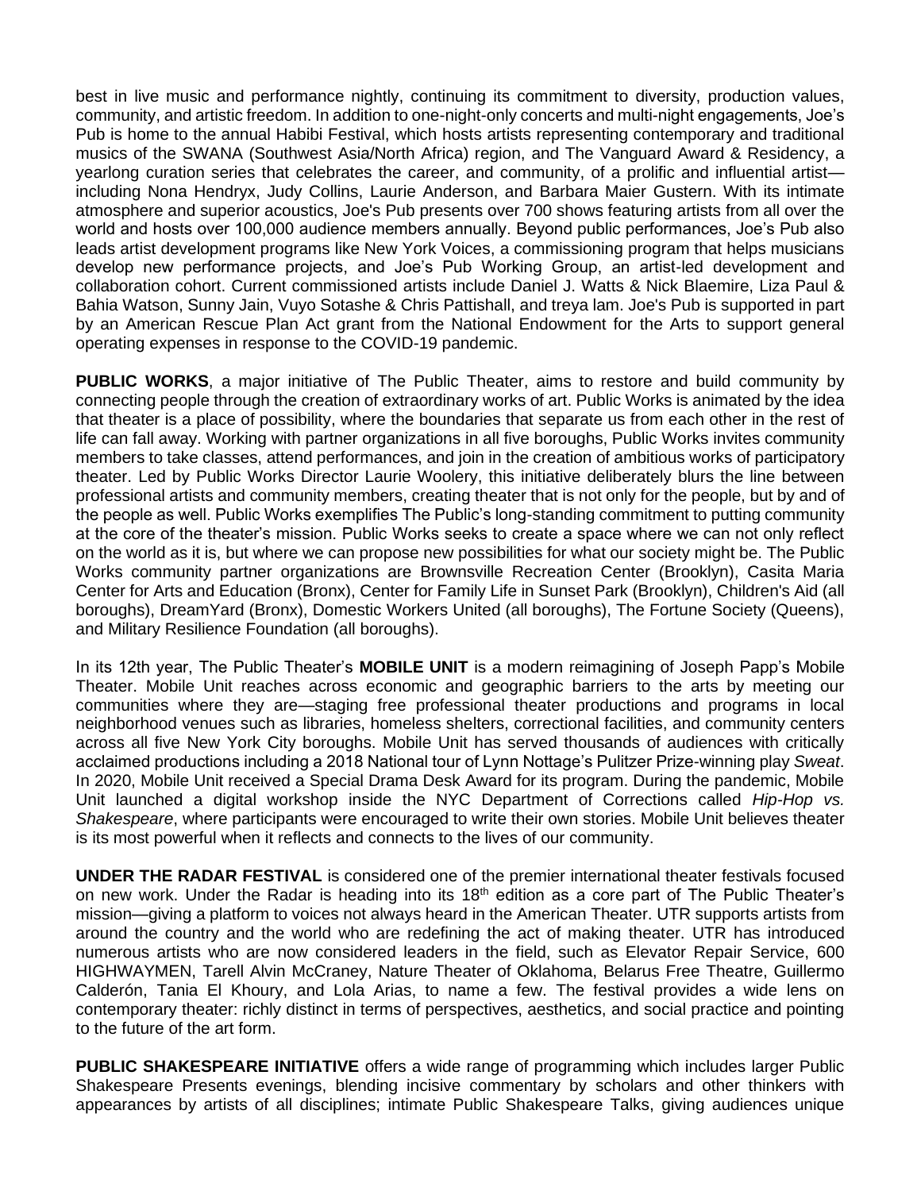best in live music and performance nightly, continuing its commitment to diversity, production values, community, and artistic freedom. In addition to one-night-only concerts and multi-night engagements, Joe's Pub is home to the annual Habibi Festival, which hosts artists representing contemporary and traditional musics of the SWANA (Southwest Asia/North Africa) region, and The Vanguard Award & Residency, a yearlong curation series that celebrates the career, and community, of a prolific and influential artist including Nona Hendryx, Judy Collins, Laurie Anderson, and Barbara Maier Gustern. With its intimate atmosphere and superior acoustics, Joe's Pub presents over 700 shows featuring artists from all over the world and hosts over 100,000 audience members annually. Beyond public performances, Joe's Pub also leads artist development programs like New York Voices, a commissioning program that helps musicians develop new performance projects, and Joe's Pub Working Group, an artist-led development and collaboration cohort. Current commissioned artists include Daniel J. Watts & Nick Blaemire, Liza Paul & Bahia Watson, Sunny Jain, Vuyo Sotashe & Chris Pattishall, and treya lam. Joe's Pub is supported in part by an American Rescue Plan Act grant from the National Endowment for the Arts to support general operating expenses in response to the COVID-19 pandemic.

**PUBLIC WORKS**, a major initiative of The Public Theater, aims to restore and build community by connecting people through the creation of extraordinary works of art. Public Works is animated by the idea that theater is a place of possibility, where the boundaries that separate us from each other in the rest of life can fall away. Working with partner organizations in all five boroughs, Public Works invites community members to take classes, attend performances, and join in the creation of ambitious works of participatory theater. Led by Public Works Director Laurie Woolery, this initiative deliberately blurs the line between professional artists and community members, creating theater that is not only for the people, but by and of the people as well. Public Works exemplifies The Public's long-standing commitment to putting community at the core of the theater's mission. Public Works seeks to create a space where we can not only reflect on the world as it is, but where we can propose new possibilities for what our society might be. The Public Works community partner organizations are Brownsville Recreation Center (Brooklyn), Casita Maria Center for Arts and Education (Bronx), Center for Family Life in Sunset Park (Brooklyn), Children's Aid (all boroughs), DreamYard (Bronx), Domestic Workers United (all boroughs), The Fortune Society (Queens), and Military Resilience Foundation (all boroughs).

In its 12th year, The Public Theater's **MOBILE UNIT** is a modern reimagining of Joseph Papp's Mobile Theater. Mobile Unit reaches across economic and geographic barriers to the arts by meeting our communities where they are—staging free professional theater productions and programs in local neighborhood venues such as libraries, homeless shelters, correctional facilities, and community centers across all five New York City boroughs. Mobile Unit has served thousands of audiences with critically acclaimed productions including a 2018 National tour of Lynn Nottage's Pulitzer Prize-winning play *Sweat*. In 2020, Mobile Unit received a Special Drama Desk Award for its program. During the pandemic, Mobile Unit launched a digital workshop inside the NYC Department of Corrections called *Hip-Hop vs. Shakespeare*, where participants were encouraged to write their own stories. Mobile Unit believes theater is its most powerful when it reflects and connects to the lives of our community.

**UNDER THE RADAR FESTIVAL** is considered one of the premier international theater festivals focused on new work. Under the Radar is heading into its 18<sup>th</sup> edition as a core part of The Public Theater's mission—giving a platform to voices not always heard in the American Theater. UTR supports artists from around the country and the world who are redefining the act of making theater. UTR has introduced numerous artists who are now considered leaders in the field, such as Elevator Repair Service, 600 HIGHWAYMEN, Tarell Alvin McCraney, Nature Theater of Oklahoma, Belarus Free Theatre, Guillermo Calderón, Tania El Khoury, and Lola Arias, to name a few. The festival provides a wide lens on contemporary theater: richly distinct in terms of perspectives, aesthetics, and social practice and pointing to the future of the art form.

**PUBLIC SHAKESPEARE INITIATIVE** offers a wide range of programming which includes larger Public Shakespeare Presents evenings, blending incisive commentary by scholars and other thinkers with appearances by artists of all disciplines; intimate Public Shakespeare Talks, giving audiences unique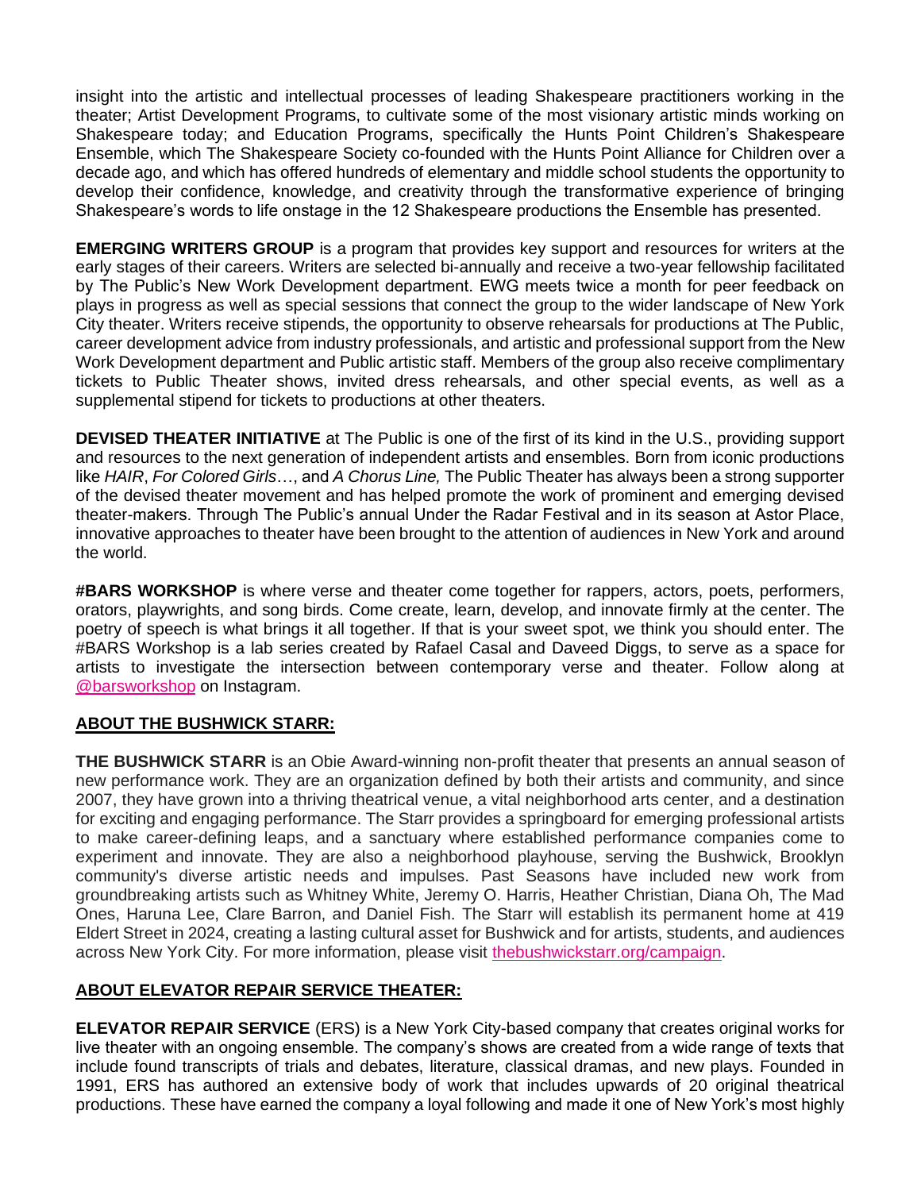insight into the artistic and intellectual processes of leading Shakespeare practitioners working in the theater; Artist Development Programs, to cultivate some of the most visionary artistic minds working on Shakespeare today; and Education Programs, specifically the Hunts Point Children's Shakespeare Ensemble, which The Shakespeare Society co-founded with the Hunts Point Alliance for Children over a decade ago, and which has offered hundreds of elementary and middle school students the opportunity to develop their confidence, knowledge, and creativity through the transformative experience of bringing Shakespeare's words to life onstage in the 12 Shakespeare productions the Ensemble has presented.

**EMERGING WRITERS GROUP** is a program that provides key support and resources for writers at the early stages of their careers. Writers are selected bi-annually and receive a two-year fellowship facilitated by The Public's New Work Development department. EWG meets twice a month for peer feedback on plays in progress as well as special sessions that connect the group to the wider landscape of New York City theater. Writers receive stipends, the opportunity to observe rehearsals for productions at The Public, career development advice from industry professionals, and artistic and professional support from the New Work Development department and Public artistic staff. Members of the group also receive complimentary tickets to Public Theater shows, invited dress rehearsals, and other special events, as well as a supplemental stipend for tickets to productions at other theaters.

**DEVISED THEATER INITIATIVE** at The Public is one of the first of its kind in the U.S., providing support and resources to the next generation of independent artists and ensembles. Born from iconic productions like *HAIR*, *For Colored Girls*…, and *A Chorus Line,* The Public Theater has always been a strong supporter of the devised theater movement and has helped promote the work of prominent and emerging devised theater-makers. Through The Public's annual Under the Radar Festival and in its season at Astor Place, innovative approaches to theater have been brought to the attention of audiences in New York and around the world.

**#BARS WORKSHOP** is where verse and theater come together for rappers, actors, poets, performers, orators, playwrights, and song birds. Come create, learn, develop, and innovate firmly at the center. The poetry of speech is what brings it all together. If that is your sweet spot, we think you should enter. The #BARS Workshop is a lab series created by Rafael Casal and Daveed Diggs, to serve as a space for artists to investigate the intersection between contemporary verse and theater. Follow along at [@barsworkshop](https://nam10.safelinks.protection.outlook.com/?url=https%3A%2F%2Fwww.instagram.com%2Fbarsworkshop%2F&data=04%7C01%7C%7C2802673aba774b3580e908d94311e33e%7C819f3c4644b8404c8220f690820adca2%7C0%7C0%7C637614566390678853%7CUnknown%7CTWFpbGZsb3d8eyJWIjoiMC4wLjAwMDAiLCJQIjoiV2luMzIiLCJBTiI6Ik1haWwiLCJXVCI6Mn0%3D%7C1000&sdata=xQRrpKi5v1fBxvKZeBwLniEQ7K%2BZazWlQHkWrwYoEh8%3D&reserved=0) on Instagram.

## **ABOUT THE BUSHWICK STARR:**

**THE BUSHWICK STARR** is an Obie Award-winning non-profit theater that presents an annual season of new performance work. They are an organization defined by both their artists and community, and since 2007, they have grown into a thriving theatrical venue, a vital neighborhood arts center, and a destination for exciting and engaging performance. The Starr provides a springboard for emerging professional artists to make career-defining leaps, and a sanctuary where established performance companies come to experiment and innovate. They are also a neighborhood playhouse, serving the Bushwick, Brooklyn community's diverse artistic needs and impulses. Past Seasons have included new work from groundbreaking artists such as Whitney White, Jeremy O. Harris, Heather Christian, Diana Oh, The Mad Ones, Haruna Lee, Clare Barron, and Daniel Fish. The Starr will establish its permanent home at 419 Eldert Street in 2024, creating a lasting cultural asset for Bushwick and for artists, students, and audiences across New York City. For more information, please visit [thebushwickstarr.org/campaign.](https://nam10.safelinks.protection.outlook.com/?url=http%3A%2F%2Fthebushwickstarr.org%2Fcampaign&data=05%7C01%7C%7Cb16c06bb9f5941bf982908da43c9057a%7C819f3c4644b8404c8220f690820adca2%7C0%7C0%7C637896827918872072%7CUnknown%7CTWFpbGZsb3d8eyJWIjoiMC4wLjAwMDAiLCJQIjoiV2luMzIiLCJBTiI6Ik1haWwiLCJXVCI6Mn0%3D%7C3000%7C%7C%7C&sdata=%2BMo8DsRszvvcPjHTfSO%2Bm4pQdKVGx3rtwwPyDC0uINQ%3D&reserved=0)

## **ABOUT ELEVATOR REPAIR SERVICE THEATER:**

**ELEVATOR REPAIR SERVICE** (ERS) is a New York City-based company that creates original works for live theater with an ongoing ensemble. The company's shows are created from a wide range of texts that include found transcripts of trials and debates, literature, classical dramas, and new plays. Founded in 1991, ERS has authored an extensive body of work that includes upwards of 20 original theatrical productions. These have earned the company a loyal following and made it one of New York's most highly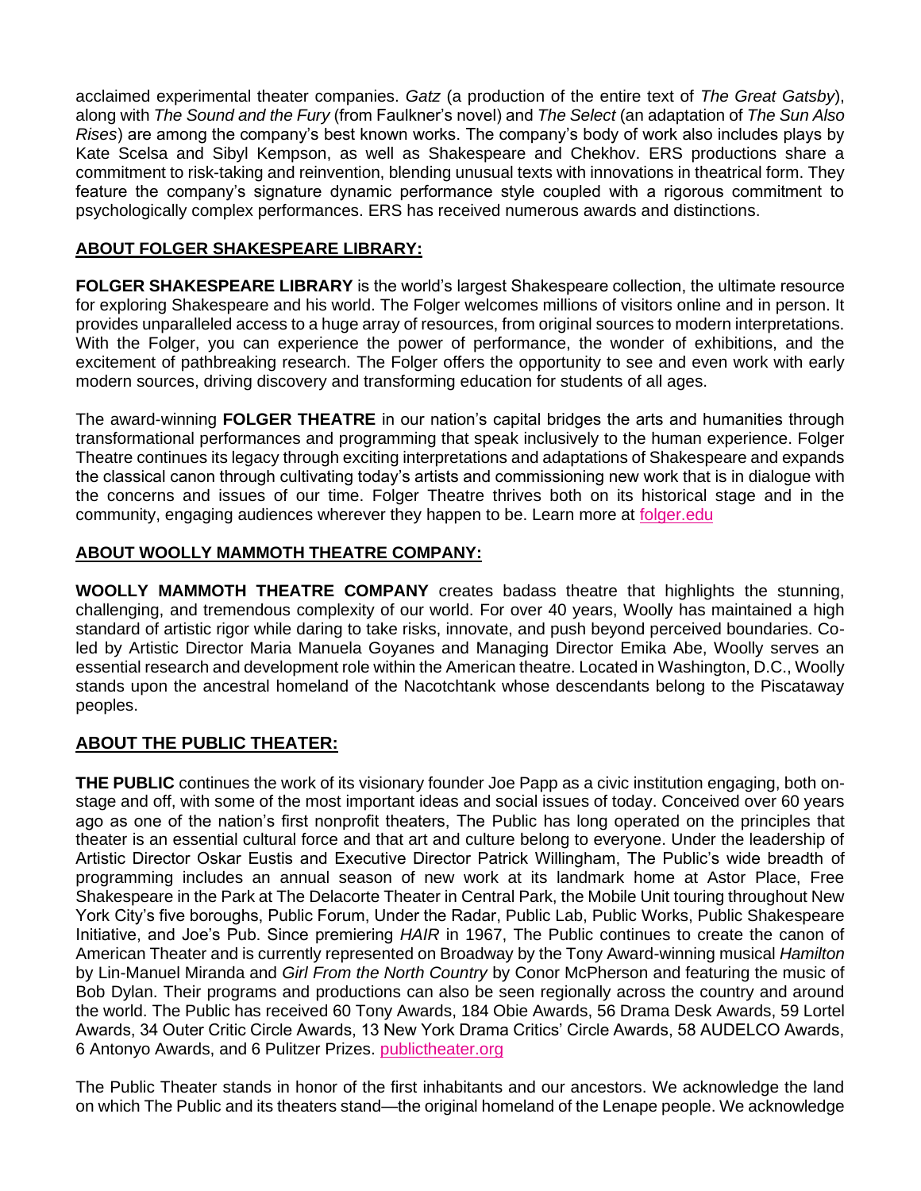acclaimed experimental theater companies. *Gatz* (a production of the entire text of *The Great Gatsby*), along with *The Sound and the Fury* (from Faulkner's novel) and *The Select* (an adaptation of *The Sun Also Rises*) are among the company's best known works. The company's body of work also includes plays by Kate Scelsa and Sibyl Kempson, as well as Shakespeare and Chekhov. ERS productions share a commitment to risk-taking and reinvention, blending unusual texts with innovations in theatrical form. They feature the company's signature dynamic performance style coupled with a rigorous commitment to psychologically complex performances. ERS has received numerous awards and distinctions.

## **ABOUT FOLGER SHAKESPEARE LIBRARY:**

**FOLGER SHAKESPEARE LIBRARY** is the world's largest Shakespeare collection, the ultimate resource for exploring Shakespeare and his world. The Folger welcomes millions of visitors online and in person. It provides unparalleled access to a huge array of resources, from original sources to modern interpretations. With the Folger, you can experience the power of performance, the wonder of exhibitions, and the excitement of pathbreaking research. The Folger offers the opportunity to see and even work with early modern sources, driving discovery and transforming education for students of all ages.

The award-winning **FOLGER THEATRE** in our nation's capital bridges the arts and humanities through transformational performances and programming that speak inclusively to the human experience. Folger Theatre continues its legacy through exciting interpretations and adaptations of Shakespeare and expands the classical canon through cultivating today's artists and commissioning new work that is in dialogue with the concerns and issues of our time. Folger Theatre thrives both on its historical stage and in the community, engaging audiences wherever they happen to be. Learn more at [folger.edu](https://www.folger.edu/)

## **ABOUT WOOLLY MAMMOTH THEATRE COMPANY:**

**WOOLLY MAMMOTH THEATRE COMPANY** creates badass theatre that highlights the stunning, challenging, and tremendous complexity of our world. For over 40 years, Woolly has maintained a high standard of artistic rigor while daring to take risks, innovate, and push beyond perceived boundaries. Coled by Artistic Director Maria Manuela Goyanes and Managing Director Emika Abe, Woolly serves an essential research and development role within the American theatre. Located in Washington, D.C., Woolly stands upon the ancestral homeland of the Nacotchtank whose descendants belong to the Piscataway peoples.

## **ABOUT THE PUBLIC THEATER:**

**THE PUBLIC** continues the work of its visionary founder Joe Papp as a civic institution engaging, both onstage and off, with some of the most important ideas and social issues of today. Conceived over 60 years ago as one of the nation's first nonprofit theaters, The Public has long operated on the principles that theater is an essential cultural force and that art and culture belong to everyone. Under the leadership of Artistic Director Oskar Eustis and Executive Director Patrick Willingham, The Public's wide breadth of programming includes an annual season of new work at its landmark home at Astor Place, Free Shakespeare in the Park at The Delacorte Theater in Central Park, the Mobile Unit touring throughout New York City's five boroughs, Public Forum, Under the Radar, Public Lab, Public Works, Public Shakespeare Initiative, and Joe's Pub. Since premiering *HAIR* in 1967, The Public continues to create the canon of American Theater and is currently represented on Broadway by the Tony Award-winning musical *Hamilton*  by Lin-Manuel Miranda and *Girl From the North Country* by Conor McPherson and featuring the music of Bob Dylan. Their programs and productions can also be seen regionally across the country and around the world. The Public has received 60 Tony Awards, 184 Obie Awards, 56 Drama Desk Awards, 59 Lortel Awards, 34 Outer Critic Circle Awards, 13 New York Drama Critics' Circle Awards, 58 AUDELCO Awards, 6 Antonyo Awards, and 6 Pulitzer Prizes[.](http://publictheater.org/) [publictheater.org](http://publictheater.org/)

The Public Theater stands in honor of the first inhabitants and our ancestors. We acknowledge the land on which The Public and its theaters stand—the original homeland of the Lenape people. We acknowledge